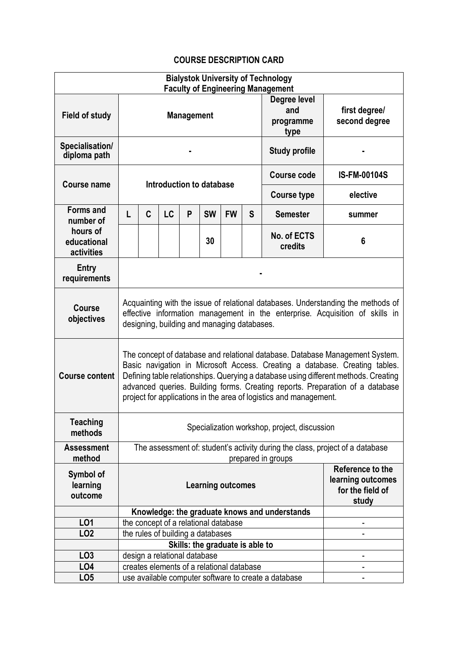## **COURSE DESCRIPTION CARD**

| <b>Bialystok University of Technology</b><br><b>Faculty of Engineering Management</b> |                                                                                                                                                                                                                                                                                                                                                                                                          |                                   |                                                      |   |                                      |                                                                    |                                |                                               |                     |  |  |
|---------------------------------------------------------------------------------------|----------------------------------------------------------------------------------------------------------------------------------------------------------------------------------------------------------------------------------------------------------------------------------------------------------------------------------------------------------------------------------------------------------|-----------------------------------|------------------------------------------------------|---|--------------------------------------|--------------------------------------------------------------------|--------------------------------|-----------------------------------------------|---------------------|--|--|
| <b>Field of study</b>                                                                 | Degree level<br>and<br><b>Management</b><br>programme<br>type                                                                                                                                                                                                                                                                                                                                            |                                   |                                                      |   |                                      |                                                                    | first degree/<br>second degree |                                               |                     |  |  |
| Specialisation/<br>diploma path                                                       |                                                                                                                                                                                                                                                                                                                                                                                                          |                                   |                                                      |   |                                      |                                                                    |                                | <b>Study profile</b>                          |                     |  |  |
| Course name                                                                           | Introduction to database                                                                                                                                                                                                                                                                                                                                                                                 |                                   |                                                      |   |                                      |                                                                    |                                | <b>Course code</b>                            | <b>IS-FM-00104S</b> |  |  |
|                                                                                       |                                                                                                                                                                                                                                                                                                                                                                                                          |                                   |                                                      |   |                                      |                                                                    |                                | <b>Course type</b>                            | elective            |  |  |
| <b>Forms and</b><br>number of<br>hours of<br>educational<br>activities                | L                                                                                                                                                                                                                                                                                                                                                                                                        | C                                 | <b>LC</b>                                            | P | <b>SW</b>                            | <b>FW</b>                                                          | S                              | <b>Semester</b>                               | summer              |  |  |
|                                                                                       |                                                                                                                                                                                                                                                                                                                                                                                                          |                                   |                                                      |   | 30                                   |                                                                    |                                | No. of ECTS<br>credits                        | 6                   |  |  |
| Entry<br>requirements                                                                 |                                                                                                                                                                                                                                                                                                                                                                                                          |                                   |                                                      |   |                                      |                                                                    |                                |                                               |                     |  |  |
| Course<br>objectives                                                                  | Acquainting with the issue of relational databases. Understanding the methods of<br>effective information management in the enterprise. Acquisition of skills in<br>designing, building and managing databases.                                                                                                                                                                                          |                                   |                                                      |   |                                      |                                                                    |                                |                                               |                     |  |  |
| <b>Course content</b>                                                                 | The concept of database and relational database. Database Management System.<br>Basic navigation in Microsoft Access. Creating a database. Creating tables.<br>Defining table relationships. Querying a database using different methods. Creating<br>advanced queries. Building forms. Creating reports. Preparation of a database<br>project for applications in the area of logistics and management. |                                   |                                                      |   |                                      |                                                                    |                                |                                               |                     |  |  |
| <b>Teaching</b><br>methods                                                            | Specialization workshop, project, discussion                                                                                                                                                                                                                                                                                                                                                             |                                   |                                                      |   |                                      |                                                                    |                                |                                               |                     |  |  |
| <b>Assessment</b><br>method                                                           | The assessment of: student's activity during the class, project of a database<br>prepared in groups                                                                                                                                                                                                                                                                                                      |                                   |                                                      |   |                                      |                                                                    |                                |                                               |                     |  |  |
| Symbol of<br>learning<br>outcome                                                      | <b>Learning outcomes</b>                                                                                                                                                                                                                                                                                                                                                                                 |                                   |                                                      |   |                                      | Reference to the<br>learning outcomes<br>for the field of<br>study |                                |                                               |                     |  |  |
|                                                                                       |                                                                                                                                                                                                                                                                                                                                                                                                          |                                   |                                                      |   |                                      |                                                                    |                                | Knowledge: the graduate knows and understands |                     |  |  |
| LO1                                                                                   |                                                                                                                                                                                                                                                                                                                                                                                                          |                                   |                                                      |   | the concept of a relational database |                                                                    |                                |                                               |                     |  |  |
| LO <sub>2</sub>                                                                       |                                                                                                                                                                                                                                                                                                                                                                                                          | the rules of building a databases |                                                      |   |                                      |                                                                    |                                |                                               |                     |  |  |
|                                                                                       |                                                                                                                                                                                                                                                                                                                                                                                                          |                                   |                                                      |   | Skills: the graduate is able to      |                                                                    |                                |                                               |                     |  |  |
| LO <sub>3</sub>                                                                       | design a relational database                                                                                                                                                                                                                                                                                                                                                                             |                                   |                                                      |   |                                      |                                                                    |                                |                                               |                     |  |  |
| LO <sub>4</sub>                                                                       | creates elements of a relational database<br>-                                                                                                                                                                                                                                                                                                                                                           |                                   |                                                      |   |                                      |                                                                    |                                |                                               |                     |  |  |
| LO <sub>5</sub>                                                                       |                                                                                                                                                                                                                                                                                                                                                                                                          |                                   | use available computer software to create a database |   |                                      |                                                                    |                                |                                               |                     |  |  |